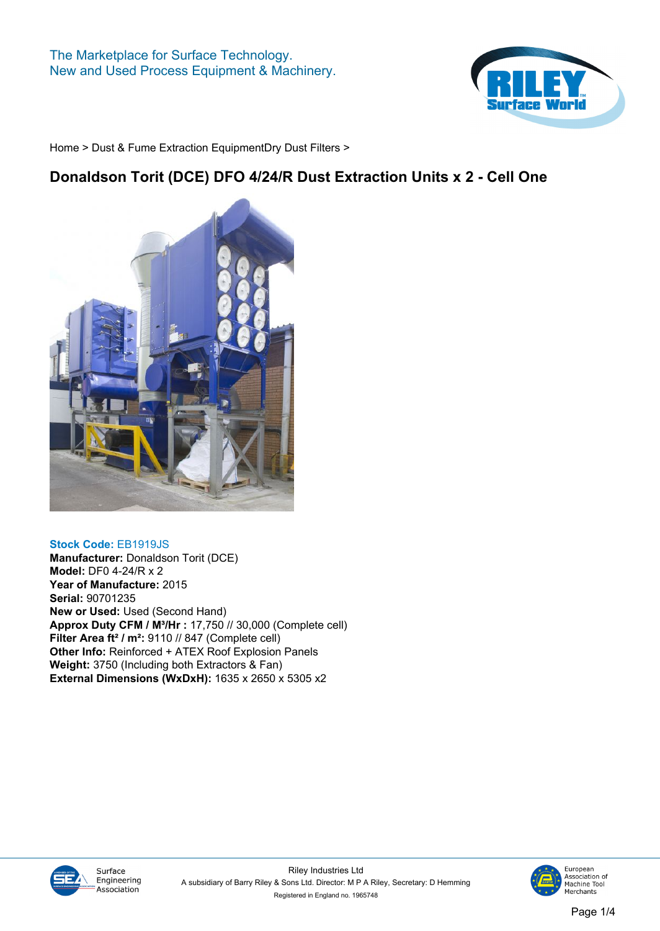

## **Donaldson Torit (DCE) DFO 4/24/R Dust Extraction Units x 2 - Cell One**



### **Stock Code: EB1919JS**

**Manufacturer: Donaldson Torit (DCE) Model: DF0 4-24/R x 2 Year of Manufacture: 2015 Serial: 90701235 New or Used: Used (Second Hand) Approx Duty CFM / M³/Hr : 17,750 // 30,000 (Complete cell) Filter Area ft² / m²: 9110 // 847 (Complete cell) Other Info: Reinforced + ATEX Roof Explosion Panels Weight: 3750 (Including both Extractors & Fan) External Dimensions (WxDxH): 1635 x 2650 x 5305 x2**



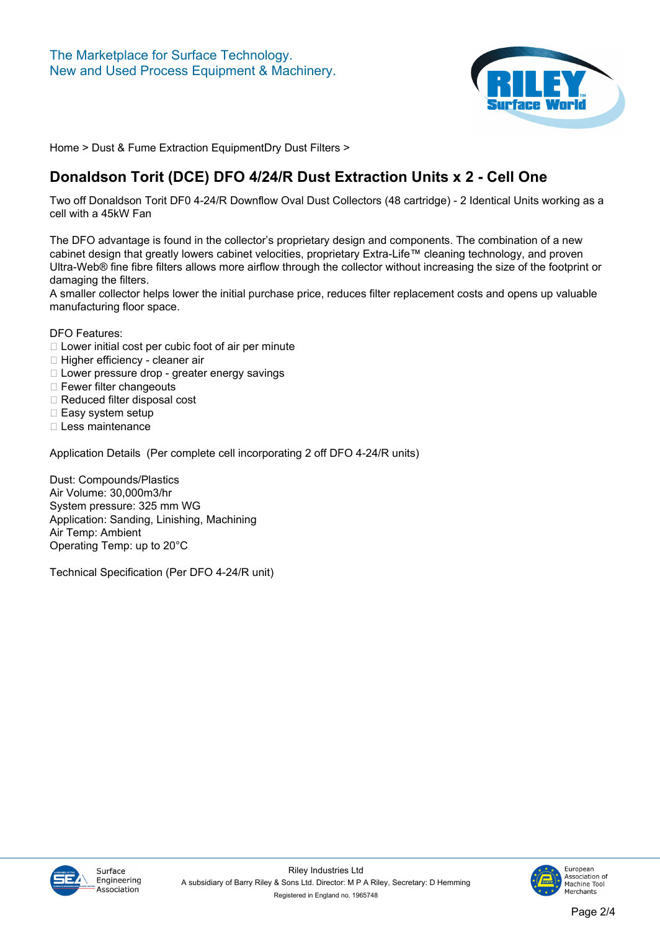

# **Donaldson Torit (DCE) DFO 4/24/R Dust Extraction Units x 2 - Cell One**

**Two off Donaldson Torit DF0 4-24/R Downflow Oval Dust Collectors (48 cartridge) - 2 Identical Units working as a cell with a 45kW Fan**

**The DFO advantage is found in the collector's proprietary design and components. The combination of a new cabinet design that greatly lowers cabinet velocities, proprietary Extra-Life™ cleaning technology, and proven Ultra-Web® fine fibre filters allows more airflow through the collector without increasing the size of the footprint or damaging the filters.**

**A smaller collector helps lower the initial purchase price, reduces filter replacement costs and opens up valuable manufacturing floor space.**

**DFO Features:**

- **Lower initial cost per cubic foot of air per minute**
- **Higher efficiency cleaner air**
- **Lower pressure drop greater energy savings**
- **Fewer filter changeouts**
- **Reduced filter disposal cost**
- **Easy system setup**
- **Less maintenance**

**Application Details (Per complete cell incorporating 2 off DFO 4-24/R units)**

**Dust: Compounds/Plastics Air Volume: 30,000m3/hr System pressure: 325 mm WG Application: Sanding, Linishing, Machining Air Temp: Ambient Operating Temp: up to 20°C**

**Technical Specification (Per DFO 4-24/R unit)**



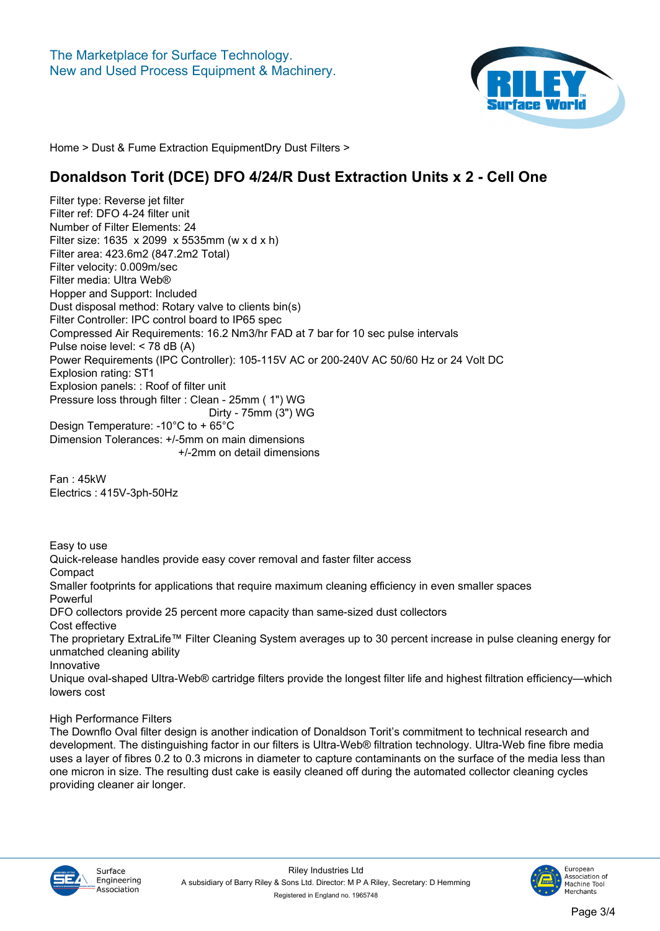

### **Donaldson Torit (DCE) DFO 4/24/R Dust Extraction Units x 2 - Cell One**

**Filter type: Reverse jet filter Filter ref: DFO 4-24 filter unit Number of Filter Elements: 24 Filter size: 1635 x 2099 x 5535mm (w x d x h) Filter area: 423.6m2 (847.2m2 Total) Filter velocity: 0.009m/sec Filter media: Ultra Web® Hopper and Support: Included Dust disposal method: Rotary valve to clients bin(s) Filter Controller: IPC control board to IP65 spec Compressed Air Requirements: 16.2 Nm3/hr FAD at 7 bar for 10 sec pulse intervals Pulse noise level: < 78 dB (A) Power Requirements (IPC Controller): 105-115V AC or 200-240V AC 50/60 Hz or 24 Volt DC Explosion rating: ST1 Explosion panels: : Roof of filter unit Pressure loss through filter : Clean - 25mm ( 1") WG Dirty - 75mm (3") WG Design Temperature: -10°C to + 65°C Dimension Tolerances: +/-5mm on main dimensions +/-2mm on detail dimensions**

**Fan : 45kW Electrics : 415V-3ph-50Hz**

**Easy to use**

**Quick-release handles provide easy cover removal and faster filter access Compact Smaller footprints for applications that require maximum cleaning efficiency in even smaller spaces Powerful DFO collectors provide 25 percent more capacity than same-sized dust collectors Cost effective The proprietary ExtraLife™ Filter Cleaning System averages up to 30 percent increase in pulse cleaning energy for unmatched cleaning ability Innovative Unique oval-shaped Ultra-Web® cartridge filters provide the longest filter life and highest filtration efficiency—which lowers cost**

**High Performance Filters**

**The Downflo Oval filter design is another indication of Donaldson Torit's commitment to technical research and development. The distinguishing factor in our filters is Ultra-Web® filtration technology. Ultra-Web fine fibre media uses a layer of fibres 0.2 to 0.3 microns in diameter to capture contaminants on the surface of the media less than one micron in size. The resulting dust cake is easily cleaned off during the automated collector cleaning cycles providing cleaner air longer.**